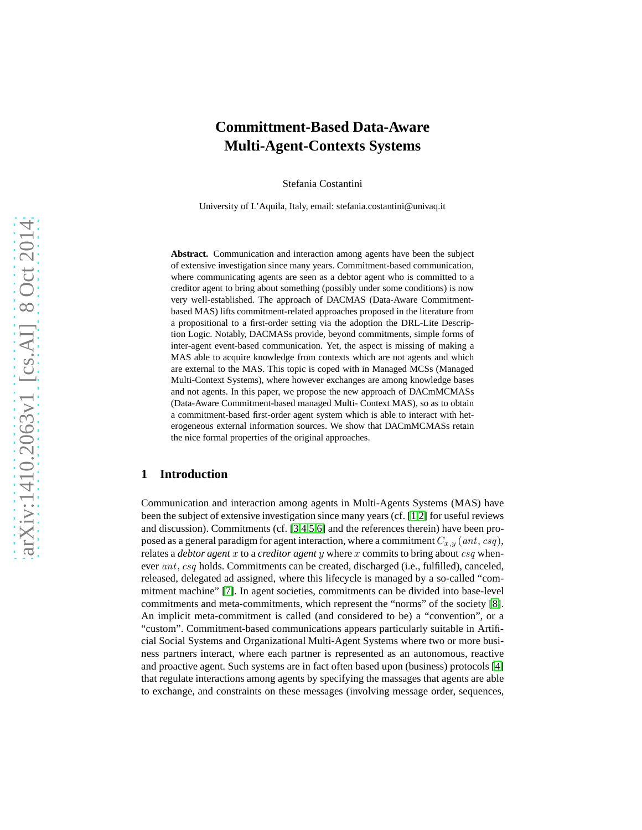# **Committment-Based Data-Aware Multi-Agent-Contexts Systems**

Stefania Costantini

University of L'Aquila, Italy, email: stefania.costantini@univaq.it

**Abstract.** Communication and interaction among agents have been the subject of extensive investigation since many years. Commitment-based communication, where communicating agents are seen as a debtor agent who is committed to a creditor agent to bring about something (possibly under some conditions) is now very well-established. The approach of DACMAS (Data-Aware Commitmentbased MAS) lifts commitment-related approaches proposed in the literature from a propositional to a first-order setting via the adoption the DRL-Lite Description Logic. Notably, DACMASs provide, beyond commitments, simple forms of inter-agent event-based communication. Yet, the aspect is missing of making a MAS able to acquire knowledge from contexts which are not agents and which are external to the MAS. This topic is coped with in Managed MCSs (Managed Multi-Context Systems), where however exchanges are among knowledge bases and not agents. In this paper, we propose the new approach of DACmMCMASs (Data-Aware Commitment-based managed Multi- Context MAS), so as to obtain a commitment-based first-order agent system which is able to interact with heterogeneous external information sources. We show that DACmMCMASs retain the nice formal properties of the original approaches.

### **1 Introduction**

Communication and interaction among agents in Multi-Agents Systems (MAS) have been the subject of extensive investigation since many years (cf. [\[1](#page-12-0)[,2\]](#page-12-1) for useful reviews and discussion). Commitments (cf. [\[3](#page-12-2)[,4](#page-12-3)[,5](#page-13-0)[,6\]](#page-13-1) and the references therein) have been proposed as a general paradigm for agent interaction, where a commitment  $C_{x,y}$  (ant, csq), relates a *debtor agent* x to a *creditor agent* y where x commits to bring about csq whenever ant, csq holds. Commitments can be created, discharged (i.e., fulfilled), canceled, released, delegated ad assigned, where this lifecycle is managed by a so-called "commitment machine" [\[7\]](#page-13-2). In agent societies, commitments can be divided into base-level commitments and meta-commitments, which represent the "norms" of the society [\[8\]](#page-13-3). An implicit meta-commitment is called (and considered to be) a "convention", or a "custom". Commitment-based communications appears particularly suitable in Artificial Social Systems and Organizational Multi-Agent Systems where two or more business partners interact, where each partner is represented as an autonomous, reactive and proactive agent. Such systems are in fact often based upon (business) protocols [\[4\]](#page-12-3) that regulate interactions among agents by specifying the massages that agents are able to exchange, and constraints on these messages (involving message order, sequences,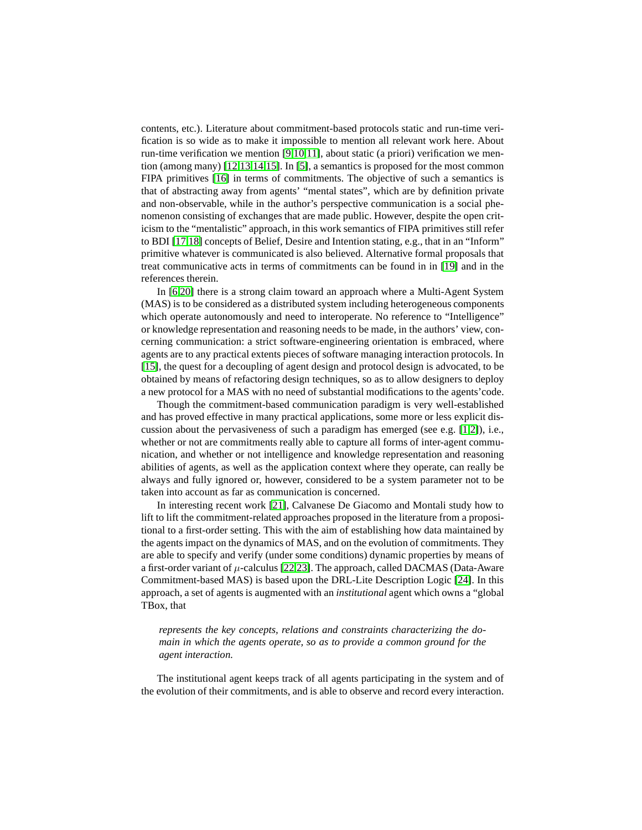contents, etc.). Literature about commitment-based protocols static and run-time verification is so wide as to make it impossible to mention all relevant work here. About run-time verification we mention [\[9,](#page-13-4)[10,](#page-13-5)[11\]](#page-13-6), about static (a priori) verification we mention (among many) [\[12](#page-13-7)[,13](#page-13-8)[,14](#page-13-9)[,15\]](#page-13-10). In [\[5\]](#page-13-0), a semantics is proposed for the most common FIPA primitives [\[16\]](#page-13-11) in terms of commitments. The objective of such a semantics is that of abstracting away from agents' "mental states", which are by definition private and non-observable, while in the author's perspective communication is a social phenomenon consisting of exchanges that are made public. However, despite the open criticism to the "mentalistic" approach, in this work semantics of FIPA primitives still refer to BDI [\[17](#page-13-12)[,18\]](#page-13-13) concepts of Belief, Desire and Intention stating, e.g., that in an "Inform" primitive whatever is communicated is also believed. Alternative formal proposals that treat communicative acts in terms of commitments can be found in in [\[19\]](#page-13-14) and in the references therein.

In [\[6](#page-13-1)[,20\]](#page-13-15) there is a strong claim toward an approach where a Multi-Agent System (MAS) is to be considered as a distributed system including heterogeneous components which operate autonomously and need to interoperate. No reference to "Intelligence" or knowledge representation and reasoning needs to be made, in the authors' view, concerning communication: a strict software-engineering orientation is embraced, where agents are to any practical extents pieces of software managing interaction protocols. In [\[15\]](#page-13-10), the quest for a decoupling of agent design and protocol design is advocated, to be obtained by means of refactoring design techniques, so as to allow designers to deploy a new protocol for a MAS with no need of substantial modifications to the agents'code.

Though the commitment-based communication paradigm is very well-established and has proved effective in many practical applications, some more or less explicit discussion about the pervasiveness of such a paradigm has emerged (see e.g. [\[1,](#page-12-0)[2\]](#page-12-1)), i.e., whether or not are commitments really able to capture all forms of inter-agent communication, and whether or not intelligence and knowledge representation and reasoning abilities of agents, as well as the application context where they operate, can really be always and fully ignored or, however, considered to be a system parameter not to be taken into account as far as communication is concerned.

In interesting recent work [\[21\]](#page-14-0), Calvanese De Giacomo and Montali study how to lift to lift the commitment-related approaches proposed in the literature from a propositional to a first-order setting. This with the aim of establishing how data maintained by the agents impact on the dynamics of MAS, and on the evolution of commitments. They are able to specify and verify (under some conditions) dynamic properties by means of a first-order variant of  $\mu$ -calculus [\[22,](#page-14-1)[23\]](#page-14-2). The approach, called DACMAS (Data-Aware Commitment-based MAS) is based upon the DRL-Lite Description Logic [\[24\]](#page-14-3). In this approach, a set of agents is augmented with an *institutional* agent which owns a "global TBox, that

*represents the key concepts, relations and constraints characterizing the domain in which the agents operate, so as to provide a common ground for the agent interaction.*

The institutional agent keeps track of all agents participating in the system and of the evolution of their commitments, and is able to observe and record every interaction.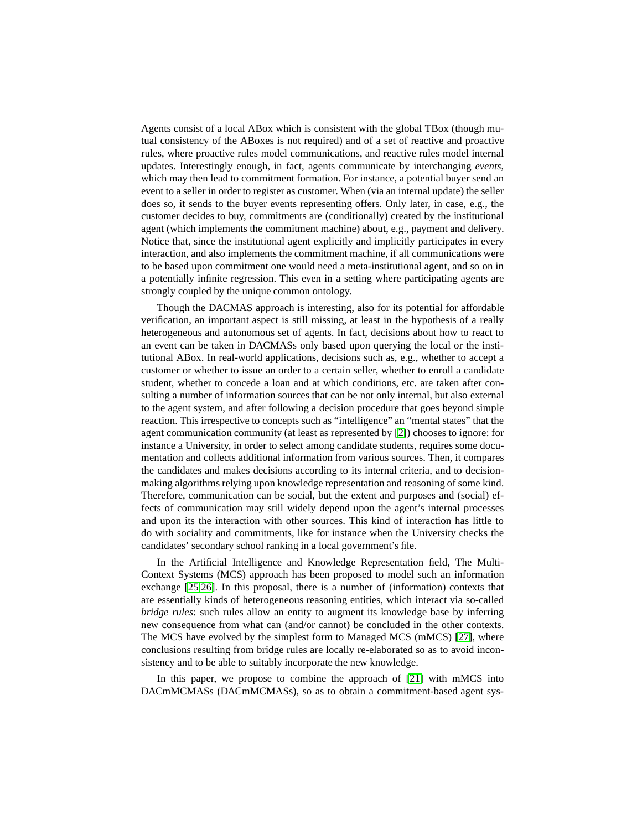Agents consist of a local ABox which is consistent with the global TBox (though mutual consistency of the ABoxes is not required) and of a set of reactive and proactive rules, where proactive rules model communications, and reactive rules model internal updates. Interestingly enough, in fact, agents communicate by interchanging *events*, which may then lead to commitment formation. For instance, a potential buyer send an event to a seller in order to register as customer. When (via an internal update) the seller does so, it sends to the buyer events representing offers. Only later, in case, e.g., the customer decides to buy, commitments are (conditionally) created by the institutional agent (which implements the commitment machine) about, e.g., payment and delivery. Notice that, since the institutional agent explicitly and implicitly participates in every interaction, and also implements the commitment machine, if all communications were to be based upon commitment one would need a meta-institutional agent, and so on in a potentially infinite regression. This even in a setting where participating agents are strongly coupled by the unique common ontology.

Though the DACMAS approach is interesting, also for its potential for affordable verification, an important aspect is still missing, at least in the hypothesis of a really heterogeneous and autonomous set of agents. In fact, decisions about how to react to an event can be taken in DACMASs only based upon querying the local or the institutional ABox. In real-world applications, decisions such as, e.g., whether to accept a customer or whether to issue an order to a certain seller, whether to enroll a candidate student, whether to concede a loan and at which conditions, etc. are taken after consulting a number of information sources that can be not only internal, but also external to the agent system, and after following a decision procedure that goes beyond simple reaction. This irrespective to concepts such as "intelligence" an "mental states" that the agent communication community (at least as represented by [\[2\]](#page-12-1)) chooses to ignore: for instance a University, in order to select among candidate students, requires some documentation and collects additional information from various sources. Then, it compares the candidates and makes decisions according to its internal criteria, and to decisionmaking algorithms relying upon knowledge representation and reasoning of some kind. Therefore, communication can be social, but the extent and purposes and (social) effects of communication may still widely depend upon the agent's internal processes and upon its the interaction with other sources. This kind of interaction has little to do with sociality and commitments, like for instance when the University checks the candidates' secondary school ranking in a local government's file.

In the Artificial Intelligence and Knowledge Representation field, The Multi-Context Systems (MCS) approach has been proposed to model such an information exchange [\[25](#page-14-4)[,26\]](#page-14-5). In this proposal, there is a number of (information) contexts that are essentially kinds of heterogeneous reasoning entities, which interact via so-called *bridge rules*: such rules allow an entity to augment its knowledge base by inferring new consequence from what can (and/or cannot) be concluded in the other contexts. The MCS have evolved by the simplest form to Managed MCS (mMCS) [\[27\]](#page-14-6), where conclusions resulting from bridge rules are locally re-elaborated so as to avoid inconsistency and to be able to suitably incorporate the new knowledge.

In this paper, we propose to combine the approach of [\[21\]](#page-14-0) with mMCS into DACmMCMASs (DACmMCMASs), so as to obtain a commitment-based agent sys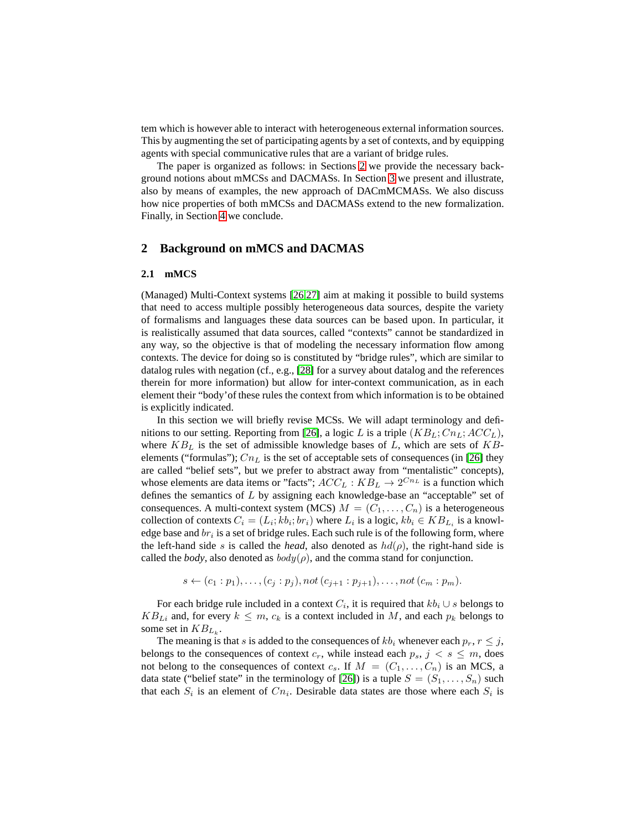tem which is however able to interact with heterogeneous external information sources. This by augmenting the set of participating agents by a set of contexts, and by equipping agents with special communicative rules that are a variant of bridge rules.

The paper is organized as follows: in Sections [2](#page-3-0) we provide the necessary background notions about mMCSs and DACMASs. In Section [3](#page-6-0) we present and illustrate, also by means of examples, the new approach of DACmMCMASs. We also discuss how nice properties of both mMCSs and DACMASs extend to the new formalization. Finally, in Section [4](#page-12-4) we conclude.

### <span id="page-3-0"></span>**2 Background on mMCS and DACMAS**

#### <span id="page-3-1"></span>**2.1 mMCS**

(Managed) Multi-Context systems [\[26,](#page-14-5)[27\]](#page-14-6) aim at making it possible to build systems that need to access multiple possibly heterogeneous data sources, despite the variety of formalisms and languages these data sources can be based upon. In particular, it is realistically assumed that data sources, called "contexts" cannot be standardized in any way, so the objective is that of modeling the necessary information flow among contexts. The device for doing so is constituted by "bridge rules", which are similar to datalog rules with negation (cf., e.g., [\[28\]](#page-14-7) for a survey about datalog and the references therein for more information) but allow for inter-context communication, as in each element their "body'of these rules the context from which information is to be obtained is explicitly indicated.

In this section we will briefly revise MCSs. We will adapt terminology and defi-nitions to our setting. Reporting from [\[26\]](#page-14-5), a logic L is a triple  $(KB_L; Cn_L; ACC_L)$ , where  $KB_L$  is the set of admissible knowledge bases of L, which are sets of  $KB$ elements ("formulas");  $Cn<sub>L</sub>$  is the set of acceptable sets of consequences (in [\[26\]](#page-14-5) they are called "belief sets", but we prefer to abstract away from "mentalistic" concepts), whose elements are data items or "facts";  $ACC_L : KB_L \rightarrow 2^{Cn_L}$  is a function which defines the semantics of L by assigning each knowledge-base an "acceptable" set of consequences. A multi-context system (MCS)  $M = (C_1, \ldots, C_n)$  is a heterogeneous collection of contexts  $C_i = (L_i; kb_i; br_i)$  where  $L_i$  is a logic,  $kb_i \in KB_{L_i}$  is a knowledge base and  $br_i$  is a set of bridge rules. Each such rule is of the following form, where the left-hand side s is called the *head*, also denoted as  $hd(\rho)$ , the right-hand side is called the *body*, also denoted as  $body(\rho)$ , and the comma stand for conjunction.

$$
s \leftarrow (c_1 : p_1), \ldots, (c_j : p_j), not (c_{j+1} : p_{j+1}), \ldots, not (c_m : p_m).
$$

For each bridge rule included in a context  $C_i$ , it is required that  $kb_i \cup s$  belongs to  $KB_{Li}$  and, for every  $k \leq m$ ,  $c_k$  is a context included in M, and each  $p_k$  belongs to some set in  $KB_{L_k}$ .

The meaning is that s is added to the consequences of  $kb_i$  whenever each  $p_r$ ,  $r \leq j$ , belongs to the consequences of context  $c_r$ , while instead each  $p_s$ ,  $j < s \leq m$ , does not belong to the consequences of context  $c_s$ . If  $M = (C_1, \ldots, C_n)$  is an MCS, a data state ("belief state" in the terminology of [\[26\]](#page-14-5)) is a tuple  $S = (S_1, \ldots, S_n)$  such that each  $S_i$  is an element of  $C_{n_i}$ . Desirable data states are those where each  $S_i$  is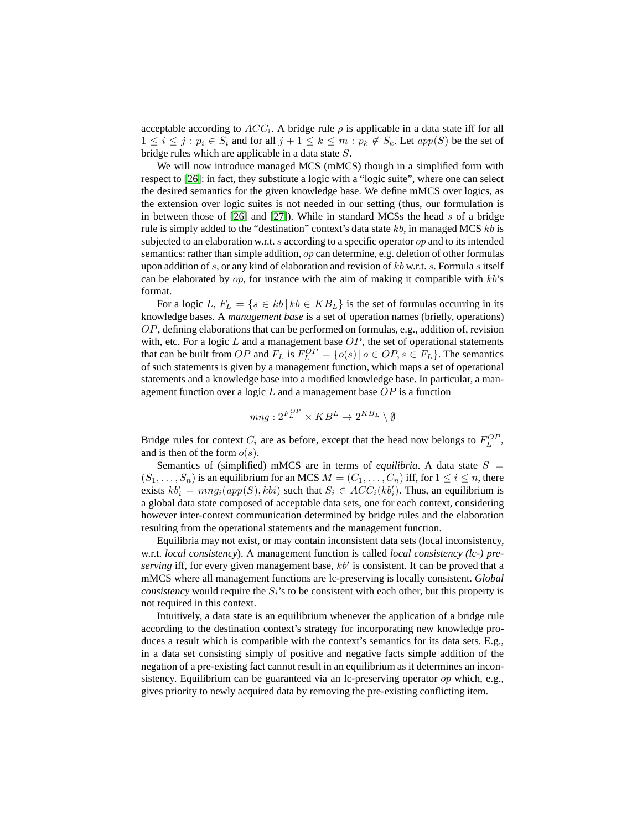acceptable according to  $ACC_i$ . A bridge rule  $\rho$  is applicable in a data state iff for all  $1 \leq i \leq j : p_i \in S_i$  and for all  $j + 1 \leq k \leq m : p_k \notin S_k$ . Let  $app(S)$  be the set of bridge rules which are applicable in a data state S.

We will now introduce managed MCS (mMCS) though in a simplified form with respect to [\[26\]](#page-14-5): in fact, they substitute a logic with a "logic suite", where one can select the desired semantics for the given knowledge base. We define mMCS over logics, as the extension over logic suites is not needed in our setting (thus, our formulation is in between those of  $[26]$  and  $[27]$ ). While in standard MCSs the head s of a bridge rule is simply added to the "destination" context's data state  $kb$ , in managed MCS  $kb$  is subjected to an elaboration w.r.t. s according to a specific operator op and to its intended semantics: rather than simple addition, op can determine, e.g. deletion of other formulas upon addition of s, or any kind of elaboration and revision of  $kb$  w.r.t. s. Formula s itself can be elaborated by  $op$ , for instance with the aim of making it compatible with  $kb$ 's format.

For a logic L,  $F_L = \{s \in kb \mid kb \in KB_L\}$  is the set of formulas occurring in its knowledge bases. A *management base* is a set of operation names (briefly, operations) OP, defining elaborations that can be performed on formulas, e.g., addition of, revision with, etc. For a logic  $L$  and a management base  $OP$ , the set of operational statements that can be built from OP and  $F_L$  is  $F_L^{OP} = \{o(s) | o \in OP, s \in F_L\}$ . The semantics of such statements is given by a management function, which maps a set of operational statements and a knowledge base into a modified knowledge base. In particular, a management function over a logic  $L$  and a management base  $OP$  is a function

$$
mng: 2^{F_L^{OP}} \times KB^L \rightarrow 2^{KB_L} \setminus \emptyset
$$

Bridge rules for context  $C_i$  are as before, except that the head now belongs to  $F_L^{OP}$ , and is then of the form  $o(s)$ .

Semantics of (simplified) mMCS are in terms of *equilibria*. A data state  $S =$  $(S_1, \ldots, S_n)$  is an equilibrium for an MCS  $M = (C_1, \ldots, C_n)$  iff, for  $1 \leq i \leq n$ , there exists  $kb'_i = mng_i(app(S), kbi)$  such that  $S_i \in ACC_i(kb'_i)$ . Thus, an equilibrium is a global data state composed of acceptable data sets, one for each context, considering however inter-context communication determined by bridge rules and the elaboration resulting from the operational statements and the management function.

Equilibria may not exist, or may contain inconsistent data sets (local inconsistency, w.r.t. *local consistency*). A management function is called *local consistency (lc-) preserving* iff, for every given management base,  $kb'$  is consistent. It can be proved that a mMCS where all management functions are lc-preserving is locally consistent. *Global consistency* would require the  $S_i$ 's to be consistent with each other, but this property is not required in this context.

Intuitively, a data state is an equilibrium whenever the application of a bridge rule according to the destination context's strategy for incorporating new knowledge produces a result which is compatible with the context's semantics for its data sets. E.g., in a data set consisting simply of positive and negative facts simple addition of the negation of a pre-existing fact cannot result in an equilibrium as it determines an inconsistency. Equilibrium can be guaranteed via an lc-preserving operator op which, e.g., gives priority to newly acquired data by removing the pre-existing conflicting item.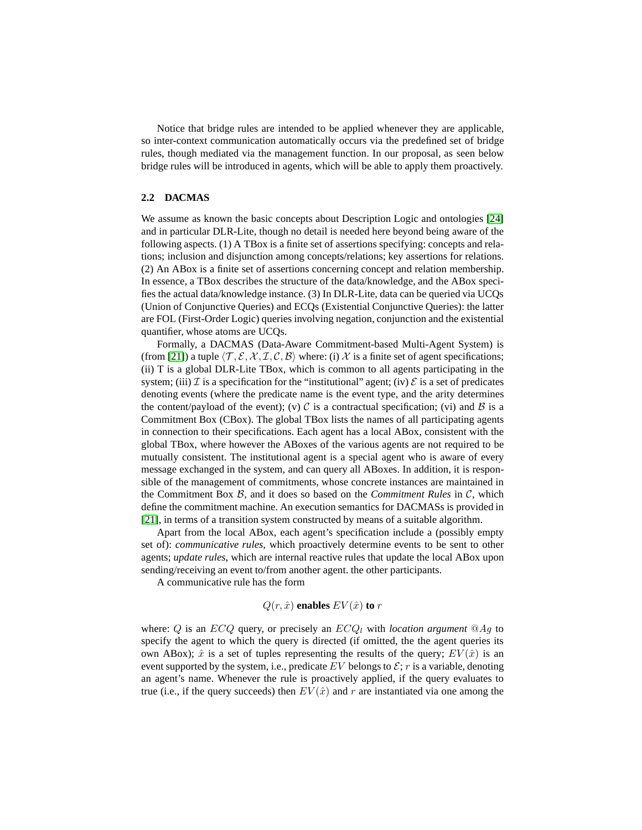Notice that bridge rules are intended to be applied whenever they are applicable, so inter-context communication automatically occurs via the predefined set of bridge rules, though mediated via the management function. In our proposal, as seen below bridge rules will be introduced in agents, which will be able to apply them proactively.

#### **2.2 DACMAS**

We assume as known the basic concepts about Description Logic and ontologies [\[24\]](#page-14-3) and in particular DLR-Lite, though no detail is needed here beyond being aware of the following aspects. (1) A TBox is a finite set of assertions specifying: concepts and relations; inclusion and disjunction among concepts/relations; key assertions for relations. (2) An ABox is a finite set of assertions concerning concept and relation membership. In essence, a TBox describes the structure of the data/knowledge, and the ABox specifies the actual data/knowledge instance. (3) In DLR-Lite, data can be queried via UCQs (Union of Conjunctive Queries) and ECQs (Existential Conjunctive Queries): the latter are FOL (First-Order Logic) queries involving negation, conjunction and the existential quantifier, whose atoms are UCQs.

Formally, a DACMAS (Data-Aware Commitment-based Multi-Agent System) is (from [\[21\]](#page-14-0)) a tuple  $\langle \mathcal{T}, \mathcal{E}, \mathcal{X}, \mathcal{I}, \mathcal{C}, \mathcal{B} \rangle$  where: (i) X is a finite set of agent specifications; (ii) T is a global DLR-Lite TBox, which is common to all agents participating in the system; (iii)  $\mathcal I$  is a specification for the "institutional" agent; (iv)  $\mathcal E$  is a set of predicates denoting events (where the predicate name is the event type, and the arity determines the content/payload of the event); (v) C is a contractual specification; (vi) and B is a Commitment Box (CBox). The global TBox lists the names of all participating agents in connection to their specifications. Each agent has a local ABox, consistent with the global TBox, where however the ABoxes of the various agents are not required to be mutually consistent. The institutional agent is a special agent who is aware of every message exchanged in the system, and can query all ABoxes. In addition, it is responsible of the management of commitments, whose concrete instances are maintained in the Commitment Box B, and it does so based on the *Commitment Rules* in C, which define the commitment machine. An execution semantics for DACMASs is provided in [\[21\]](#page-14-0), in terms of a transition system constructed by means of a suitable algorithm.

Apart from the local ABox, each agent's specification include a (possibly empty set of): *communicative rules*, which proactively determine events to be sent to other agents; *update rules*, which are internal reactive rules that update the local ABox upon sending/receiving an event to/from another agent. the other participants.

A communicative rule has the form

$$
Q(r, \hat{x})
$$
 enables  $EV(\hat{x})$  to r

where:  $Q$  is an  $ECQ$  query, or precisely an  $ECQ_l$  with *location argument*  $@Ag$  to specify the agent to which the query is directed (if omitted, the the agent queries its own ABox);  $\hat{x}$  is a set of tuples representing the results of the query;  $EV(\hat{x})$  is an event supported by the system, i.e., predicate EV belongs to  $\mathcal{E}$ ; r is a variable, denoting an agent's name. Whenever the rule is proactively applied, if the query evaluates to true (i.e., if the query succeeds) then  $EV(\hat{x})$  and r are instantiated via one among the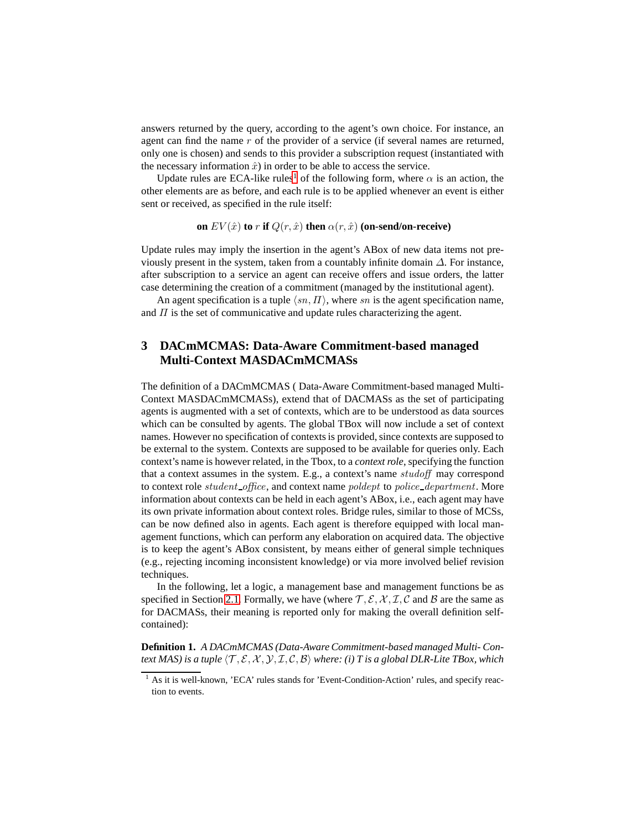answers returned by the query, according to the agent's own choice. For instance, an agent can find the name  $r$  of the provider of a service (if several names are returned, only one is chosen) and sends to this provider a subscription request (instantiated with the necessary information  $\hat{x}$ ) in order to be able to access the service.

Update rules are ECA-like rules<sup>[1](#page-6-1)</sup> of the following form, where  $\alpha$  is an action, the other elements are as before, and each rule is to be applied whenever an event is either sent or received, as specified in the rule itself:

**on**  $EV(\hat{x})$  **to** r **if**  $Q(r, \hat{x})$  **then**  $\alpha(r, \hat{x})$  **(on-send/on-receive)** 

Update rules may imply the insertion in the agent's ABox of new data items not previously present in the system, taken from a countably infinite domain  $\Delta$ . For instance, after subscription to a service an agent can receive offers and issue orders, the latter case determining the creation of a commitment (managed by the institutional agent).

An agent specification is a tuple  $\langle sn, \Pi \rangle$ , where sn is the agent specification name, and  $\Pi$  is the set of communicative and update rules characterizing the agent.

# <span id="page-6-0"></span>**3 DACmMCMAS: Data-Aware Commitment-based managed Multi-Context MASDACmMCMASs**

The definition of a DACmMCMAS ( Data-Aware Commitment-based managed Multi-Context MASDACmMCMASs), extend that of DACMASs as the set of participating agents is augmented with a set of contexts, which are to be understood as data sources which can be consulted by agents. The global TBox will now include a set of context names. However no specification of contexts is provided, since contexts are supposed to be external to the system. Contexts are supposed to be available for queries only. Each context's name is however related, in the Tbox, to a *context role*, specifying the function that a context assumes in the system. E.g., a context's name studoff may correspond to context role *student\_office*, and context name *poldept* to *police\_department*. More information about contexts can be held in each agent's ABox, i.e., each agent may have its own private information about context roles. Bridge rules, similar to those of MCSs, can be now defined also in agents. Each agent is therefore equipped with local management functions, which can perform any elaboration on acquired data. The objective is to keep the agent's ABox consistent, by means either of general simple techniques (e.g., rejecting incoming inconsistent knowledge) or via more involved belief revision techniques.

In the following, let a logic, a management base and management functions be as specified in Section [2.1.](#page-3-1) Formally, we have (where  $\mathcal{T}, \mathcal{E}, \mathcal{X}, \mathcal{I}, \mathcal{C}$  and  $\mathcal{B}$  are the same as for DACMASs, their meaning is reported only for making the overall definition selfcontained):

**Definition 1.** *A DACmMCMAS (Data-Aware Commitment-based managed Multi- Context MAS) is a tuple*  $\langle T, \mathcal{E}, \mathcal{X}, \mathcal{Y}, \mathcal{I}, \mathcal{C}, \mathcal{B} \rangle$  *where: (i) T is a global DLR-Lite TBox, which* 

<span id="page-6-1"></span><sup>&</sup>lt;sup>1</sup> As it is well-known, 'ECA' rules stands for 'Event-Condition-Action' rules, and specify reaction to events.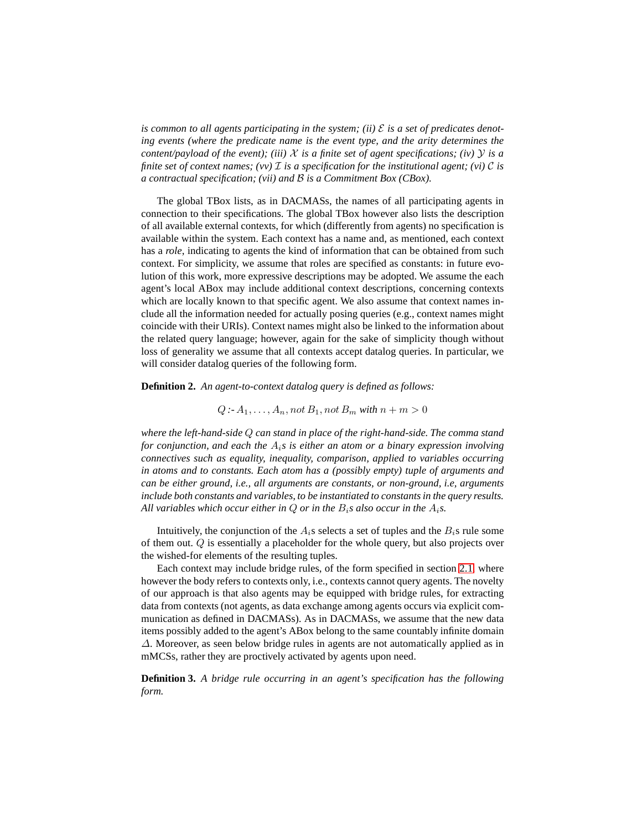is common to all agents participating in the system; (ii)  $\mathcal E$  is a set of predicates denot*ing events (where the predicate name is the event type, and the arity determines the content/payload of the event); (iii)*  $X$  *is a finite set of agent specifications; (iv)*  $Y$  *is a finite set of context names; (vv)*  $\mathcal{I}$  *is a specification for the institutional agent; (vi)*  $\mathcal{C}$  *is a contractual specification; (vii) and* B *is a Commitment Box (CBox).*

The global TBox lists, as in DACMASs, the names of all participating agents in connection to their specifications. The global TBox however also lists the description of all available external contexts, for which (differently from agents) no specification is available within the system. Each context has a name and, as mentioned, each context has a *role*, indicating to agents the kind of information that can be obtained from such context. For simplicity, we assume that roles are specified as constants: in future evolution of this work, more expressive descriptions may be adopted. We assume the each agent's local ABox may include additional context descriptions, concerning contexts which are locally known to that specific agent. We also assume that context names include all the information needed for actually posing queries (e.g., context names might coincide with their URIs). Context names might also be linked to the information about the related query language; however, again for the sake of simplicity though without loss of generality we assume that all contexts accept datalog queries. In particular, we will consider datalog queries of the following form.

<span id="page-7-0"></span>**Definition 2.** *An agent-to-context datalog query is defined as follows:*

## $Q : A_1, \ldots, A_n$ , not  $B_1$ , not  $B_m$  with  $n + m > 0$

*where the left-hand-side* Q *can stand in place of the right-hand-side. The comma stand for conjunction, and each the* Ai*s is either an atom or a binary expression involving connectives such as equality, inequality, comparison, applied to variables occurring in atoms and to constants. Each atom has a (possibly empty) tuple of arguments and can be either ground, i.e., all arguments are constants, or non-ground, i.e, arguments include both constants and variables, to be instantiated to constants in the query results.* All variables which occur either in  $Q$  or in the  $B_i$ *s* also occur in the  $A_i$ *s*.

Intuitively, the conjunction of the  $A_i$ s selects a set of tuples and the  $B_i$ s rule some of them out. Q is essentially a placeholder for the whole query, but also projects over the wished-for elements of the resulting tuples.

Each context may include bridge rules, of the form specified in section [2.1,](#page-3-1) where however the body refers to contexts only, i.e., contexts cannot query agents. The novelty of our approach is that also agents may be equipped with bridge rules, for extracting data from contexts (not agents, as data exchange among agents occurs via explicit communication as defined in DACMASs). As in DACMASs, we assume that the new data items possibly added to the agent's ABox belong to the same countably infinite domain ∆. Moreover, as seen below bridge rules in agents are not automatically applied as in mMCSs, rather they are proctively activated by agents upon need.

**Definition 3.** *A bridge rule occurring in an agent's specification has the following form.*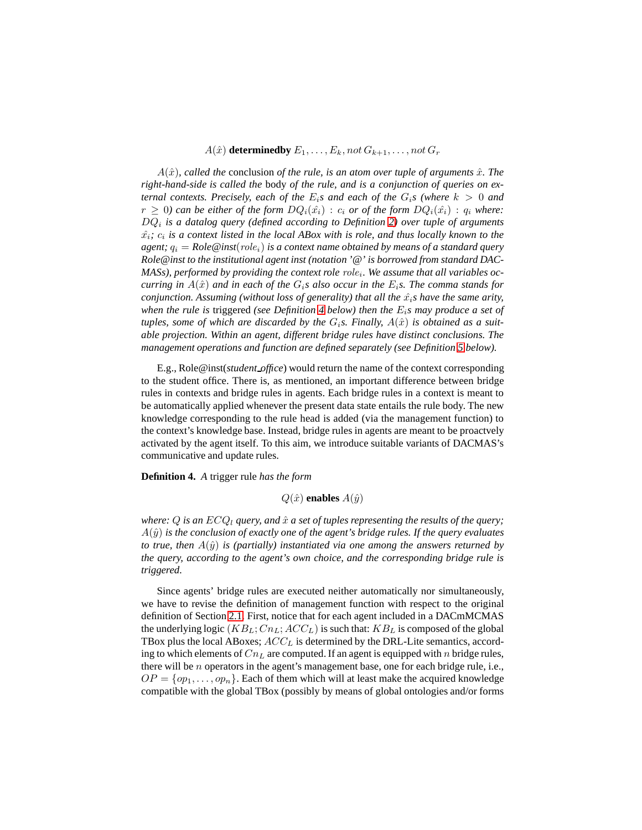$A(\hat{x})$  **determinedby**  $E_1, \ldots, E_k$ , not  $G_{k+1}, \ldots$ , not  $G_r$ 

 $A(\hat{x})$ *, called the* conclusion *of the rule, is an atom over tuple of arguments*  $\hat{x}$ *. The right-hand-side is called the* body *of the rule, and is a conjunction of queries on external contexts. Precisely, each of the*  $E_i$ *s and each of the*  $G_i$ *s (where*  $k > 0$  *and*  $r \geq 0$ ) can be either of the form  $DQ_i(\hat{x_i}) : c_i$  or of the form  $DQ_i(\hat{x_i}) : q_i$  where: DQ<sup>i</sup> *is a datalog query (defined according to Definition [2\)](#page-7-0) over tuple of arguments*  $\hat{x_i}$ ;  $c_i$  is a context listed in the local ABox with is role, and thus locally known to the *agent;*  $q_i = \text{Role@inst}(role_i)$  *is a context name obtained by means of a standard query Role@inst to the institutional agent inst (notation '@' is borrowed from standard DAC-*MASs), performed by providing the context role role<sub>i</sub>. We assume that all variables oc*curring in*  $A(\hat{x})$  *and in each of the*  $G_i$ *s also occur in the*  $E_i$ *s. The comma stands for conjunction. Assuming (without loss of generality) that all the*  $\hat{x}_i$ *s have the same arity, when the rule is* triggered *(see Definition [4](#page-8-0) below) then the* Ei*s may produce a set of* tuples, some of which are discarded by the  $G_i$ s. Finally,  $A(\hat{x})$  is obtained as a suit*able projection. Within an agent, different bridge rules have distinct conclusions. The management operations and function are defined separately (see Definition [5](#page-9-0) below).*

E.g., Role@inst(*student office*) would return the name of the context corresponding to the student office. There is, as mentioned, an important difference between bridge rules in contexts and bridge rules in agents. Each bridge rules in a context is meant to be automatically applied whenever the present data state entails the rule body. The new knowledge corresponding to the rule head is added (via the management function) to the context's knowledge base. Instead, bridge rules in agents are meant to be proactvely activated by the agent itself. To this aim, we introduce suitable variants of DACMAS's communicative and update rules.

<span id="page-8-0"></span>**Definition 4.** *A* trigger rule *has the form*

 $Q(\hat{x})$  **enables**  $A(\hat{y})$ 

*where:* Q *is an*  $ECQ_1$  *query, and*  $\hat{x}$  *a set of tuples representing the results of the query;*  $A(\hat{y})$  *is the conclusion of exactly one of the agent's bridge rules. If the query evaluates to true, then*  $A(\hat{y})$  *is (partially) instantiated via one among the answers returned by the query, according to the agent's own choice, and the corresponding bridge rule is triggered.*

Since agents' bridge rules are executed neither automatically nor simultaneously, we have to revise the definition of management function with respect to the original definition of Section [2.1.](#page-3-1) First, notice that for each agent included in a DACmMCMAS the underlying logic  $(KB_L; Cn_L; ACC_L)$  is such that:  $KB_L$  is composed of the global TBox plus the local ABoxes;  $ACC<sub>L</sub>$  is determined by the DRL-Lite semantics, according to which elements of  $Cn<sub>L</sub>$  are computed. If an agent is equipped with n bridge rules, there will be *n* operators in the agent's management base, one for each bridge rule, i.e.,  $OP = \{op_1, \ldots, op_n\}$ . Each of them which will at least make the acquired knowledge compatible with the global TBox (possibly by means of global ontologies and/or forms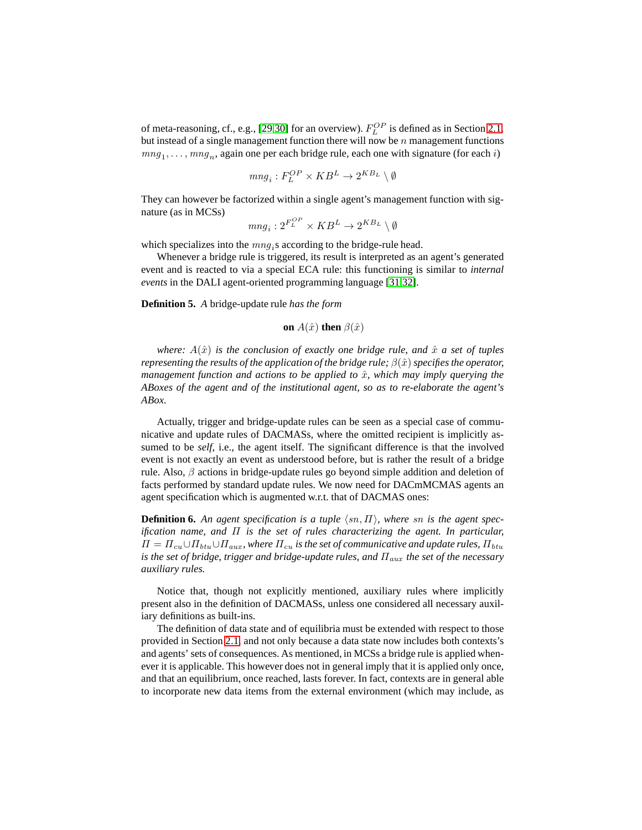of meta-reasoning, cf., e.g., [\[29,](#page-14-8)[30\]](#page-14-9) for an overview).  $F_L^{OP}$  is defined as in Section [2.1,](#page-3-1) but instead of a single management function there will now be  $n$  management functions  $m n g_1, \ldots, m n g_n$ , again one per each bridge rule, each one with signature (for each *i*)

$$
mng_i:F_L^{OP}\times KB^L\to 2^{KB_L}\setminus \emptyset
$$

They can however be factorized within a single agent's management function with signature (as in MCSs) OP

$$
mng_i: 2^{F_L^{OP}} \times KB^L \rightarrow 2^{KB_L} \setminus \emptyset
$$

which specializes into the  $mng_i$ s according to the bridge-rule head.

Whenever a bridge rule is triggered, its result is interpreted as an agent's generated event and is reacted to via a special ECA rule: this functioning is similar to *internal events* in the DALI agent-oriented programming language [\[31,](#page-14-10)[32\]](#page-14-11).

<span id="page-9-0"></span>**Definition 5.** *A* bridge-update rule *has the form*

on 
$$
A(\hat{x})
$$
 then  $\beta(\hat{x})$ 

*where:*  $A(\hat{x})$  *is the conclusion of exactly one bridge rule, and*  $\hat{x}$  *a set of tuples representing the results of the application of the bridge rule;*  $\beta(\hat{x})$  *specifies the operator, management function and actions to be applied to*  $\hat{x}$ *, which may imply querying the ABoxes of the agent and of the institutional agent, so as to re-elaborate the agent's ABox.*

Actually, trigger and bridge-update rules can be seen as a special case of communicative and update rules of DACMASs, where the omitted recipient is implicitly assumed to be *self*, i.e., the agent itself. The significant difference is that the involved event is not exactly an event as understood before, but is rather the result of a bridge rule. Also,  $\beta$  actions in bridge-update rules go beyond simple addition and deletion of facts performed by standard update rules. We now need for DACmMCMAS agents an agent specification which is augmented w.r.t. that of DACMAS ones:

**Definition 6.** An agent specification is a tuple  $\langle sn, \Pi \rangle$ , where sn is the agent spec*ification name, and* Π *is the set of rules characterizing the agent. In particular,*  $\Pi = \Pi_{cu} \cup \Pi_{btu} \cup \Pi_{aux}$ , where  $\Pi_{cu}$  is the set of communicative and update rules,  $\Pi_{btu}$ *is the set of bridge, trigger and bridge-update rules, and*  $\Pi_{aux}$  *the set of the necessary auxiliary rules.*

Notice that, though not explicitly mentioned, auxiliary rules where implicitly present also in the definition of DACMASs, unless one considered all necessary auxiliary definitions as built-ins.

The definition of data state and of equilibria must be extended with respect to those provided in Section [2.1,](#page-3-1) and not only because a data state now includes both contexts's and agents' sets of consequences. As mentioned, in MCSs a bridge rule is applied whenever it is applicable. This however does not in general imply that it is applied only once, and that an equilibrium, once reached, lasts forever. In fact, contexts are in general able to incorporate new data items from the external environment (which may include, as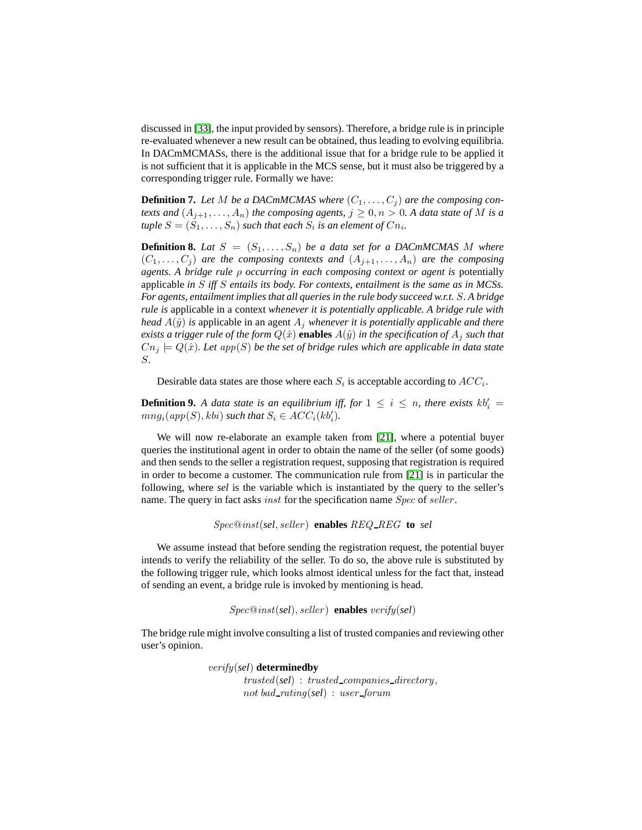discussed in [\[33\]](#page-14-12), the input provided by sensors). Therefore, a bridge rule is in principle re-evaluated whenever a new result can be obtained, thus leading to evolving equilibria. In DACmMCMASs, there is the additional issue that for a bridge rule to be applied it is not sufficient that it is applicable in the MCS sense, but it must also be triggered by a corresponding trigger rule. Formally we have:

**Definition 7.** Let M be a DACmMCMAS where  $(C_1, \ldots, C_j)$  are the composing con*texts and*  $(A_{j+1},...,A_n)$  *the composing agents,*  $j \geq 0, n > 0$ *. A data state of* M *is a tuple*  $S = (S_1, \ldots, S_n)$  *such that each*  $S_i$  *is an element of*  $Cn_i$ *.* 

**Definition 8.** Lat  $S = (S_1, \ldots, S_n)$  be a data set for a DACmMCMAS M where  $(C_1, \ldots, C_j)$  *are the composing contexts and*  $(A_{j+1}, \ldots, A_n)$  *are the composing agents. A bridge rule* ρ *occurring in each composing context or agent is* potentially applicable *in* S *iff* S *entails its body. For contexts, entailment is the same as in MCSs. For agents, entailment implies that all queries in the rule body succeed w.r.t.* S*. A bridge rule is* applicable in a context *whenever it is potentially applicable. A bridge rule with head*  $A(\hat{y})$  *is* applicable in an agent  $A_j$  *whenever it is potentially applicable and there exists a trigger rule of the form*  $Q(\hat{x})$  **enables**  $A(\hat{y})$  *in the specification of*  $A_i$  *such that*  $Cn_j \models Q(\hat{x})$ *. Let app*(S) *be the set of bridge rules which are applicable in data state* S*.*

Desirable data states are those where each  $S_i$  is acceptable according to  $ACC_i$ .

**Definition 9.** A data state is an equilibrium iff, for  $1 \leq i \leq n$ , there exists  $kb'_i =$  $mng_i(app(S), kbi)$  *such that*  $S_i \in ACC_i(kb'_i)$ .

We will now re-elaborate an example taken from [\[21\]](#page-14-0), where a potential buyer queries the institutional agent in order to obtain the name of the seller (of some goods) and then sends to the seller a registration request, supposing that registration is required in order to become a customer. The communication rule from [\[21\]](#page-14-0) is in particular the following, where *sel* is the variable which is instantiated by the query to the seller's name. The query in fact asks *inst* for the specification name *Spec* of seller.

Spec@inst(*sel*, seller ) **enables** REQ REG **to** *sel*

We assume instead that before sending the registration request, the potential buyer intends to verify the reliability of the seller. To do so, the above rule is substituted by the following trigger rule, which looks almost identical unless for the fact that, instead of sending an event, a bridge rule is invoked by mentioning is head.

```
Spec@inst(sel), seller ) enables verify(sel)
```
The bridge rule might involve consulting a list of trusted companies and reviewing other user's opinion.

> verify(*sel*) **determinedby** trusted(*sel*) : trusted companies directory, not bad\_rating(sel) : user\_forum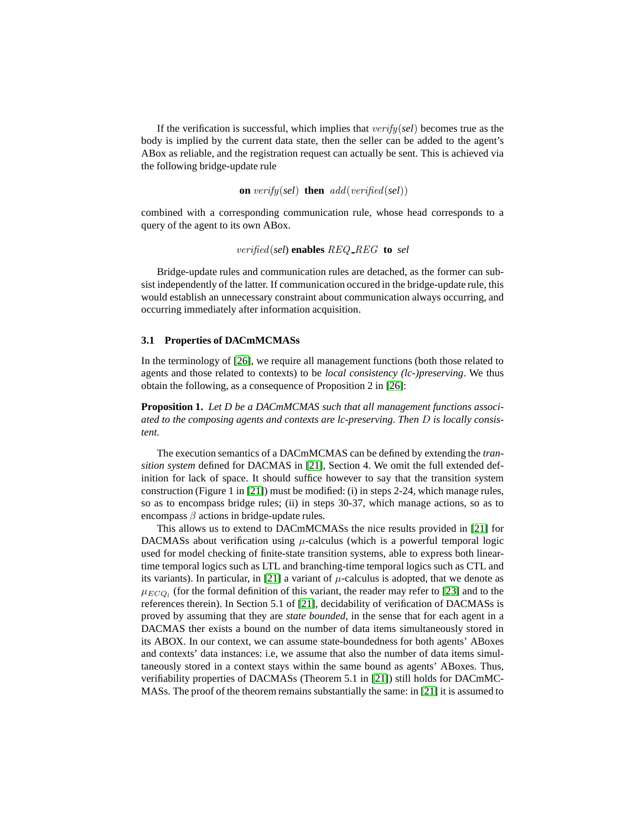If the verification is successful, which implies that verify(*sel*) becomes true as the body is implied by the current data state, then the seller can be added to the agent's ABox as reliable, and the registration request can actually be sent. This is achieved via the following bridge-update rule

on verify(self) then 
$$
add(verified(self))
$$

combined with a corresponding communication rule, whose head corresponds to a query of the agent to its own ABox.

```
verified(sel) enables REQ REG to sel
```
Bridge-update rules and communication rules are detached, as the former can subsist independently of the latter. If communication occured in the bridge-update rule, this would establish an unnecessary constraint about communication always occurring, and occurring immediately after information acquisition.

#### **3.1 Properties of DACmMCMASs**

In the terminology of [\[26\]](#page-14-5), we require all management functions (both those related to agents and those related to contexts) to be *local consistency (lc-)preserving*. We thus obtain the following, as a consequence of Proposition 2 in [\[26\]](#page-14-5):

**Proposition 1.** *Let D be a DACmMCMAS such that all management functions associated to the composing agents and contexts are lc-preserving. Then* D *is locally consistent.*

The execution semantics of a DACmMCMAS can be defined by extending the *transition system* defined for DACMAS in [\[21\]](#page-14-0), Section 4. We omit the full extended definition for lack of space. It should suffice however to say that the transition system construction (Figure 1 in [\[21\]](#page-14-0)) must be modified: (i) in steps 2-24, which manage rules, so as to encompass bridge rules; (ii) in steps 30-37, which manage actions, so as to encompass  $\beta$  actions in bridge-update rules.

This allows us to extend to DACmMCMASs the nice results provided in [\[21\]](#page-14-0) for DACMASs about verification using  $\mu$ -calculus (which is a powerful temporal logic used for model checking of finite-state transition systems, able to express both lineartime temporal logics such as LTL and branching-time temporal logics such as CTL and its variants). In particular, in [\[21\]](#page-14-0) a variant of  $\mu$ -calculus is adopted, that we denote as  $\mu_{ECQ_1}$  (for the formal definition of this variant, the reader may refer to [\[23\]](#page-14-2) and to the references therein). In Section 5.1 of [\[21\]](#page-14-0), decidability of verification of DACMASs is proved by assuming that they are *state bounded*, in the sense that for each agent in a DACMAS ther exists a bound on the number of data items simultaneously stored in its ABOX. In our context, we can assume state-boundedness for both agents' ABoxes and contexts' data instances: i.e, we assume that also the number of data items simultaneously stored in a context stays within the same bound as agents' ABoxes. Thus, verifiability properties of DACMASs (Theorem 5.1 in [\[21\]](#page-14-0)) still holds for DACmMC-MASs. The proof of the theorem remains substantially the same: in [\[21\]](#page-14-0) it is assumed to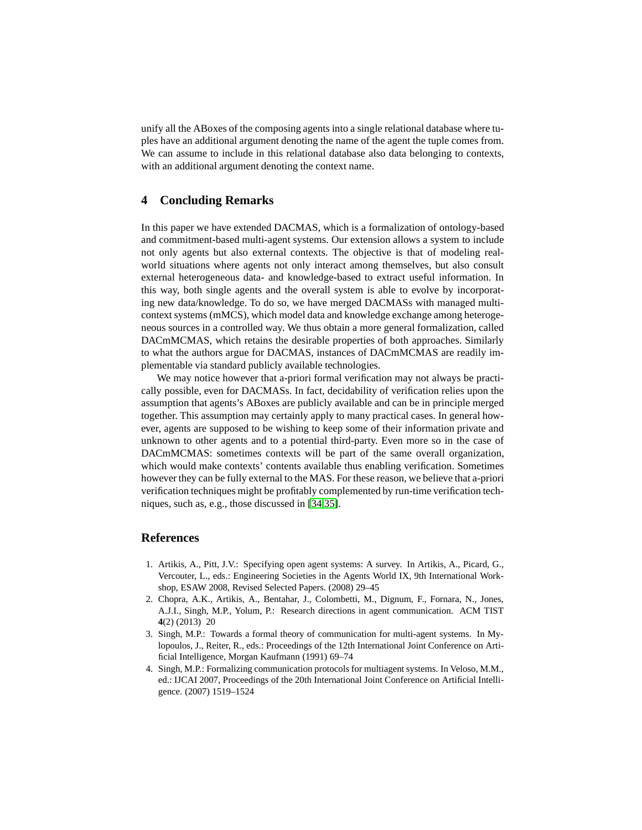unify all the ABoxes of the composing agents into a single relational database where tuples have an additional argument denoting the name of the agent the tuple comes from. We can assume to include in this relational database also data belonging to contexts, with an additional argument denoting the context name.

### <span id="page-12-4"></span>**4 Concluding Remarks**

In this paper we have extended DACMAS, which is a formalization of ontology-based and commitment-based multi-agent systems. Our extension allows a system to include not only agents but also external contexts. The objective is that of modeling realworld situations where agents not only interact among themselves, but also consult external heterogeneous data- and knowledge-based to extract useful information. In this way, both single agents and the overall system is able to evolve by incorporating new data/knowledge. To do so, we have merged DACMASs with managed multicontext systems (mMCS), which model data and knowledge exchange among heterogeneous sources in a controlled way. We thus obtain a more general formalization, called DACmMCMAS, which retains the desirable properties of both approaches. Similarly to what the authors argue for DACMAS, instances of DACmMCMAS are readily implementable via standard publicly available technologies.

We may notice however that a-priori formal verification may not always be practically possible, even for DACMASs. In fact, decidability of verification relies upon the assumption that agents's ABoxes are publicly available and can be in principle merged together. This assumption may certainly apply to many practical cases. In general however, agents are supposed to be wishing to keep some of their information private and unknown to other agents and to a potential third-party. Even more so in the case of DACmMCMAS: sometimes contexts will be part of the same overall organization, which would make contexts' contents available thus enabling verification. Sometimes however they can be fully external to the MAS. For these reason, we believe that a-priori verification techniques might be profitably complemented by run-time verification techniques, such as, e.g., those discussed in [\[34](#page-14-13)[,35\]](#page-14-14).

### **References**

- <span id="page-12-0"></span>1. Artikis, A., Pitt, J.V.: Specifying open agent systems: A survey. In Artikis, A., Picard, G., Vercouter, L., eds.: Engineering Societies in the Agents World IX, 9th International Workshop, ESAW 2008, Revised Selected Papers. (2008) 29–45
- <span id="page-12-1"></span>2. Chopra, A.K., Artikis, A., Bentahar, J., Colombetti, M., Dignum, F., Fornara, N., Jones, A.J.I., Singh, M.P., Yolum, P.: Research directions in agent communication. ACM TIST **4**(2) (2013) 20
- <span id="page-12-2"></span>3. Singh, M.P.: Towards a formal theory of communication for multi-agent systems. In Mylopoulos, J., Reiter, R., eds.: Proceedings of the 12th International Joint Conference on Artificial Intelligence, Morgan Kaufmann (1991) 69–74
- <span id="page-12-3"></span>4. Singh, M.P.: Formalizing communication protocols for multiagent systems. In Veloso, M.M., ed.: IJCAI 2007, Proceedings of the 20th International Joint Conference on Artificial Intelligence. (2007) 1519–1524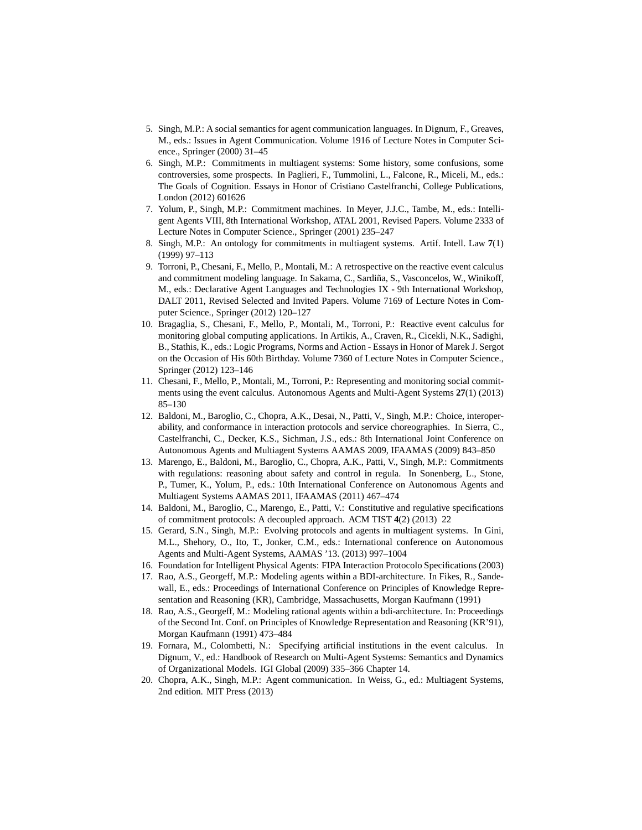- <span id="page-13-0"></span>5. Singh, M.P.: A social semantics for agent communication languages. In Dignum, F., Greaves, M., eds.: Issues in Agent Communication. Volume 1916 of Lecture Notes in Computer Science., Springer (2000) 31–45
- <span id="page-13-1"></span>6. Singh, M.P.: Commitments in multiagent systems: Some history, some confusions, some controversies, some prospects. In Paglieri, F., Tummolini, L., Falcone, R., Miceli, M., eds.: The Goals of Cognition. Essays in Honor of Cristiano Castelfranchi, College Publications, London (2012) 601626
- <span id="page-13-2"></span>7. Yolum, P., Singh, M.P.: Commitment machines. In Meyer, J.J.C., Tambe, M., eds.: Intelligent Agents VIII, 8th International Workshop, ATAL 2001, Revised Papers. Volume 2333 of Lecture Notes in Computer Science., Springer (2001) 235–247
- <span id="page-13-3"></span>8. Singh, M.P.: An ontology for commitments in multiagent systems. Artif. Intell. Law **7**(1) (1999) 97–113
- <span id="page-13-4"></span>9. Torroni, P., Chesani, F., Mello, P., Montali, M.: A retrospective on the reactive event calculus and commitment modeling language. In Sakama, C., Sardiña, S., Vasconcelos, W., Winikoff, M., eds.: Declarative Agent Languages and Technologies IX - 9th International Workshop, DALT 2011, Revised Selected and Invited Papers. Volume 7169 of Lecture Notes in Computer Science., Springer (2012) 120–127
- <span id="page-13-5"></span>10. Bragaglia, S., Chesani, F., Mello, P., Montali, M., Torroni, P.: Reactive event calculus for monitoring global computing applications. In Artikis, A., Craven, R., Cicekli, N.K., Sadighi, B., Stathis, K., eds.: Logic Programs, Norms and Action - Essays in Honor of Marek J. Sergot on the Occasion of His 60th Birthday. Volume 7360 of Lecture Notes in Computer Science., Springer (2012) 123–146
- <span id="page-13-6"></span>11. Chesani, F., Mello, P., Montali, M., Torroni, P.: Representing and monitoring social commitments using the event calculus. Autonomous Agents and Multi-Agent Systems **27**(1) (2013) 85–130
- <span id="page-13-7"></span>12. Baldoni, M., Baroglio, C., Chopra, A.K., Desai, N., Patti, V., Singh, M.P.: Choice, interoperability, and conformance in interaction protocols and service choreographies. In Sierra, C., Castelfranchi, C., Decker, K.S., Sichman, J.S., eds.: 8th International Joint Conference on Autonomous Agents and Multiagent Systems AAMAS 2009, IFAAMAS (2009) 843–850
- <span id="page-13-8"></span>13. Marengo, E., Baldoni, M., Baroglio, C., Chopra, A.K., Patti, V., Singh, M.P.: Commitments with regulations: reasoning about safety and control in regula. In Sonenberg, L., Stone, P., Tumer, K., Yolum, P., eds.: 10th International Conference on Autonomous Agents and Multiagent Systems AAMAS 2011, IFAAMAS (2011) 467–474
- <span id="page-13-9"></span>14. Baldoni, M., Baroglio, C., Marengo, E., Patti, V.: Constitutive and regulative specifications of commitment protocols: A decoupled approach. ACM TIST **4**(2) (2013) 22
- <span id="page-13-10"></span>15. Gerard, S.N., Singh, M.P.: Evolving protocols and agents in multiagent systems. In Gini, M.L., Shehory, O., Ito, T., Jonker, C.M., eds.: International conference on Autonomous Agents and Multi-Agent Systems, AAMAS '13. (2013) 997–1004
- <span id="page-13-12"></span><span id="page-13-11"></span>16. Foundation for Intelligent Physical Agents: FIPA Interaction Protocolo Specifications (2003)
- 17. Rao, A.S., Georgeff, M.P.: Modeling agents within a BDI-architecture. In Fikes, R., Sandewall, E., eds.: Proceedings of International Conference on Principles of Knowledge Representation and Reasoning (KR), Cambridge, Massachusetts, Morgan Kaufmann (1991)
- <span id="page-13-13"></span>18. Rao, A.S., Georgeff, M.: Modeling rational agents within a bdi-architecture. In: Proceedings of the Second Int. Conf. on Principles of Knowledge Representation and Reasoning (KR'91), Morgan Kaufmann (1991) 473–484
- <span id="page-13-14"></span>19. Fornara, M., Colombetti, N.: Specifying artificial institutions in the event calculus. In Dignum, V., ed.: Handbook of Research on Multi-Agent Systems: Semantics and Dynamics of Organizational Models. IGI Global (2009) 335–366 Chapter 14.
- <span id="page-13-15"></span>20. Chopra, A.K., Singh, M.P.: Agent communication. In Weiss, G., ed.: Multiagent Systems, 2nd edition. MIT Press (2013)